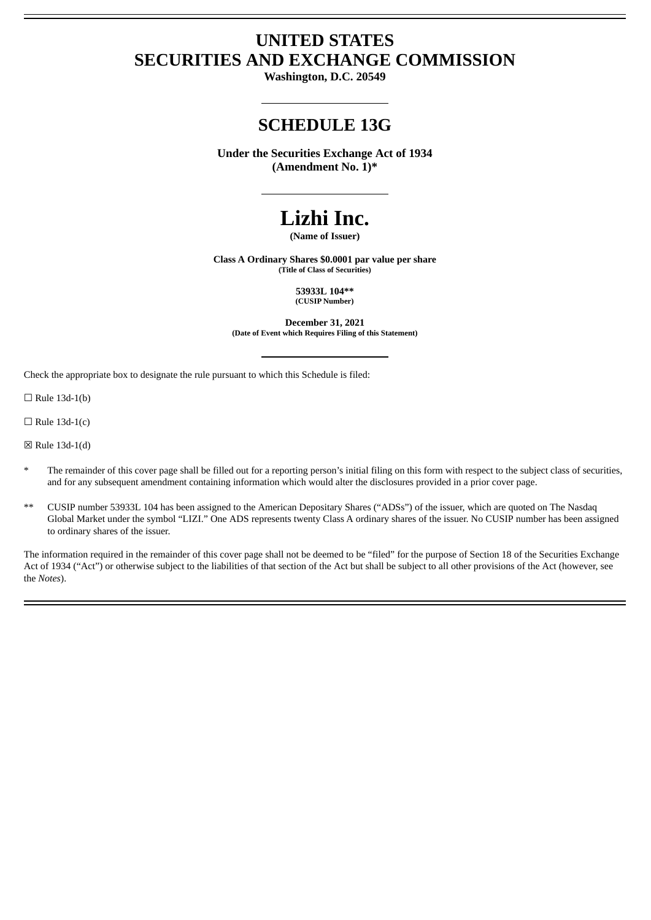# **UNITED STATES SECURITIES AND EXCHANGE COMMISSION**

**Washington, D.C. 20549**

## **SCHEDULE 13G**

**Under the Securities Exchange Act of 1934 (Amendment No. 1)\***

# **Lizhi Inc.**

**(Name of Issuer)**

**Class A Ordinary Shares \$0.0001 par value per share (Title of Class of Securities)**

> **53933L 104\*\* (CUSIP Number)**

**December 31, 2021 (Date of Event which Requires Filing of this Statement)**

Check the appropriate box to designate the rule pursuant to which this Schedule is filed:

 $\Box$  Rule 13d-1(b)

 $\Box$  Rule 13d-1(c)

☒ Rule 13d-1(d)

- The remainder of this cover page shall be filled out for a reporting person's initial filing on this form with respect to the subject class of securities, and for any subsequent amendment containing information which would alter the disclosures provided in a prior cover page.
- \*\* CUSIP number 53933L 104 has been assigned to the American Depositary Shares ("ADSs") of the issuer, which are quoted on The Nasdaq Global Market under the symbol "LIZI." One ADS represents twenty Class A ordinary shares of the issuer. No CUSIP number has been assigned to ordinary shares of the issuer.

The information required in the remainder of this cover page shall not be deemed to be "filed" for the purpose of Section 18 of the Securities Exchange Act of 1934 ("Act") or otherwise subject to the liabilities of that section of the Act but shall be subject to all other provisions of the Act (however, see the *Notes*).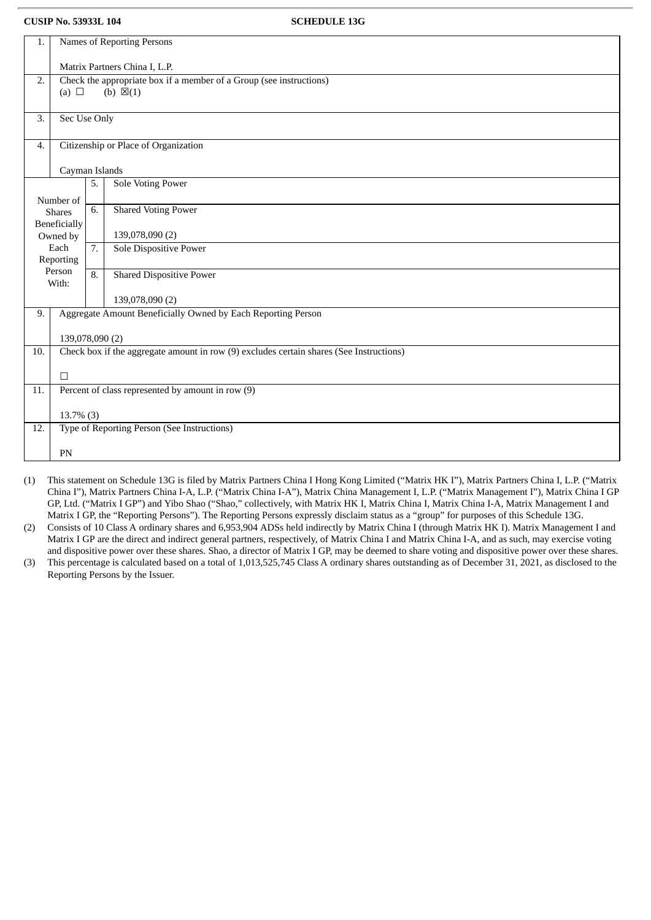| 1.  | Names of Reporting Persons                                                              |                  |                                                              |  |
|-----|-----------------------------------------------------------------------------------------|------------------|--------------------------------------------------------------|--|
|     | Matrix Partners China I, L.P.                                                           |                  |                                                              |  |
| 2.  | Check the appropriate box if a member of a Group (see instructions)                     |                  |                                                              |  |
|     | (a) $\Box$                                                                              |                  | (b) $\boxtimes(1)$                                           |  |
|     |                                                                                         |                  |                                                              |  |
| 3.  | Sec Use Only                                                                            |                  |                                                              |  |
|     |                                                                                         |                  |                                                              |  |
| 4.  | Citizenship or Place of Organization                                                    |                  |                                                              |  |
|     |                                                                                         |                  |                                                              |  |
|     | Cayman Islands                                                                          |                  |                                                              |  |
|     |                                                                                         | 5.               | <b>Sole Voting Power</b>                                     |  |
|     | Number of                                                                               |                  |                                                              |  |
|     | <b>Shares</b>                                                                           | 6.               | <b>Shared Voting Power</b>                                   |  |
|     | <b>Beneficially</b>                                                                     |                  |                                                              |  |
|     | Owned by                                                                                |                  | 139,078,090 (2)                                              |  |
|     | Each                                                                                    | $\overline{7}$ . | <b>Sole Dispositive Power</b>                                |  |
|     | Reporting                                                                               |                  |                                                              |  |
|     | Person                                                                                  | 8.               | <b>Shared Dispositive Power</b>                              |  |
|     | With:                                                                                   |                  |                                                              |  |
|     |                                                                                         |                  | 139,078,090 (2)                                              |  |
| 9.  |                                                                                         |                  | Aggregate Amount Beneficially Owned by Each Reporting Person |  |
|     |                                                                                         |                  |                                                              |  |
|     | 139,078,090 (2)                                                                         |                  |                                                              |  |
| 10. | Check box if the aggregate amount in row (9) excludes certain shares (See Instructions) |                  |                                                              |  |
|     |                                                                                         |                  |                                                              |  |
|     | $\Box$                                                                                  |                  |                                                              |  |
| 11. | Percent of class represented by amount in row (9)                                       |                  |                                                              |  |
|     |                                                                                         |                  |                                                              |  |
|     | $13.7\%$ (3)                                                                            |                  |                                                              |  |
| 12. | Type of Reporting Person (See Instructions)                                             |                  |                                                              |  |
|     |                                                                                         |                  |                                                              |  |
|     | PN                                                                                      |                  |                                                              |  |
|     |                                                                                         |                  |                                                              |  |

(1) This statement on Schedule 13G is filed by Matrix Partners China I Hong Kong Limited ("Matrix HK I"), Matrix Partners China I, L.P. ("Matrix China I"), Matrix Partners China I-A, L.P. ("Matrix China I-A"), Matrix China Management I, L.P. ("Matrix Management I"), Matrix China I GP GP, Ltd. ("Matrix I GP") and Yibo Shao ("Shao," collectively, with Matrix HK I, Matrix China I, Matrix China I-A, Matrix Management I and Matrix I GP, the "Reporting Persons"). The Reporting Persons expressly disclaim status as a "group" for purposes of this Schedule 13G.

(2) Consists of 10 Class A ordinary shares and 6,953,904 ADSs held indirectly by Matrix China I (through Matrix HK I). Matrix Management I and Matrix I GP are the direct and indirect general partners, respectively, of Matrix China I and Matrix China I-A, and as such, may exercise voting and dispositive power over these shares. Shao, a director of Matrix I GP, may be deemed to share voting and dispositive power over these shares.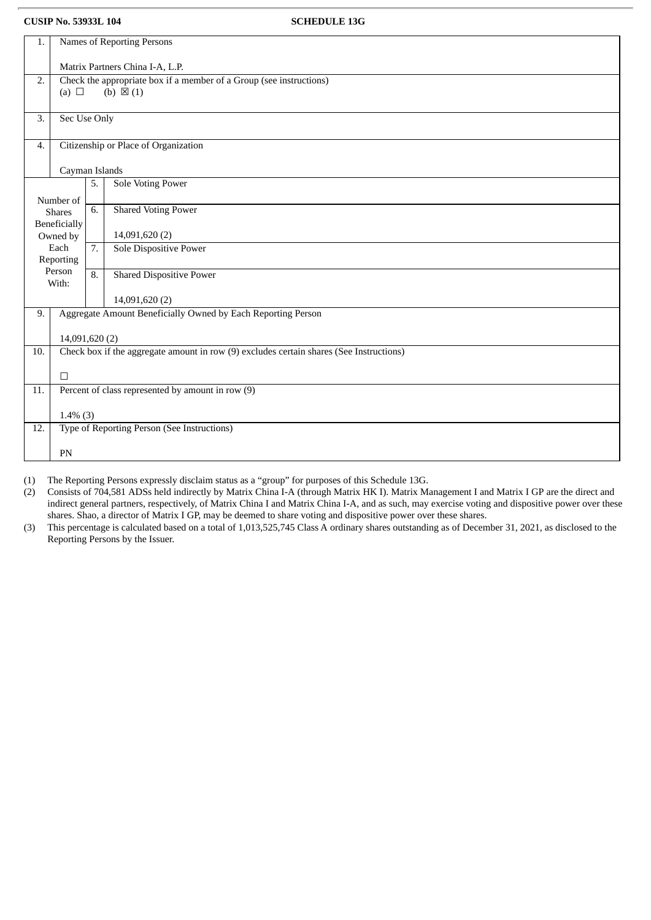| 1.  | Names of Reporting Persons                                                              |    |                                                              |  |
|-----|-----------------------------------------------------------------------------------------|----|--------------------------------------------------------------|--|
|     | Matrix Partners China I-A, L.P.                                                         |    |                                                              |  |
| 2.  | Check the appropriate box if a member of a Group (see instructions)                     |    |                                                              |  |
|     | (a) $\Box$                                                                              |    | (b) $\boxtimes$ (1)                                          |  |
| 3.  | Sec Use Only                                                                            |    |                                                              |  |
|     |                                                                                         |    |                                                              |  |
| 4.  | Citizenship or Place of Organization                                                    |    |                                                              |  |
|     | Cayman Islands                                                                          |    |                                                              |  |
|     |                                                                                         | 5. | <b>Sole Voting Power</b>                                     |  |
|     | Number of                                                                               |    |                                                              |  |
|     | <b>Shares</b>                                                                           | 6. | <b>Shared Voting Power</b>                                   |  |
|     | <b>Beneficially</b>                                                                     |    |                                                              |  |
|     | Owned by<br>Each                                                                        | 7. | 14,091,620 (2)<br><b>Sole Dispositive Power</b>              |  |
|     | Reporting                                                                               |    |                                                              |  |
|     | Person<br>With:                                                                         | 8. | <b>Shared Dispositive Power</b>                              |  |
|     |                                                                                         |    | 14,091,620 (2)                                               |  |
| 9.  |                                                                                         |    | Aggregate Amount Beneficially Owned by Each Reporting Person |  |
|     | 14,091,620 (2)                                                                          |    |                                                              |  |
| 10. | Check box if the aggregate amount in row (9) excludes certain shares (See Instructions) |    |                                                              |  |
|     | $\Box$                                                                                  |    |                                                              |  |
| 11. | Percent of class represented by amount in row (9)                                       |    |                                                              |  |
|     |                                                                                         |    |                                                              |  |
| 12. | $1.4\%$ (3)<br>Type of Reporting Person (See Instructions)                              |    |                                                              |  |
|     |                                                                                         |    |                                                              |  |
|     | PN                                                                                      |    |                                                              |  |
|     |                                                                                         |    |                                                              |  |

(1) The Reporting Persons expressly disclaim status as a "group" for purposes of this Schedule 13G.

(2) Consists of 704,581 ADSs held indirectly by Matrix China I-A (through Matrix HK I). Matrix Management I and Matrix I GP are the direct and indirect general partners, respectively, of Matrix China I and Matrix China I-A, and as such, may exercise voting and dispositive power over these shares. Shao, a director of Matrix I GP, may be deemed to share voting and dispositive power over these shares.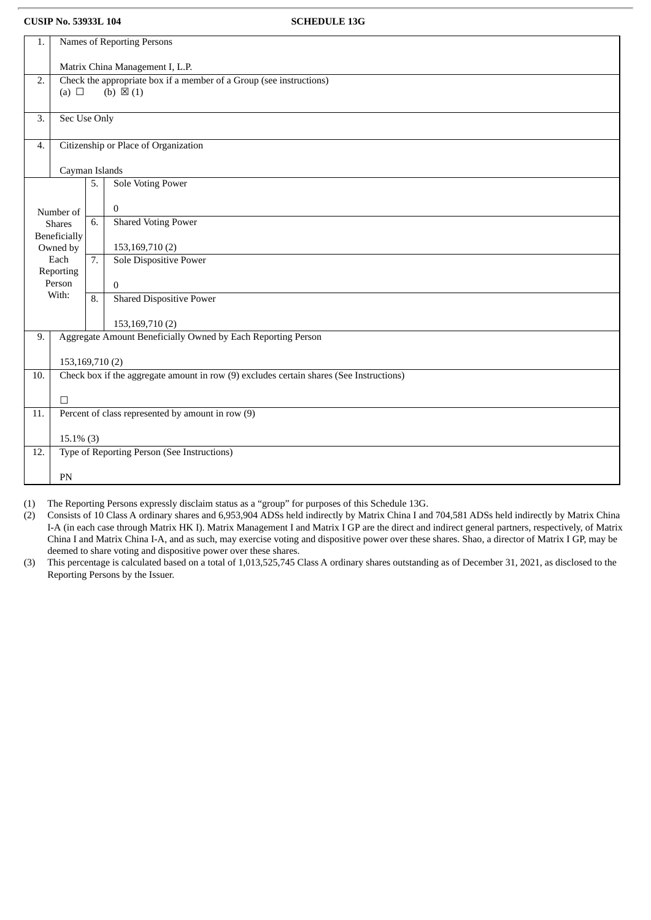| 1.    | Names of Reporting Persons                                   |                  |                                                                                            |  |
|-------|--------------------------------------------------------------|------------------|--------------------------------------------------------------------------------------------|--|
|       | Matrix China Management I, L.P.                              |                  |                                                                                            |  |
| 2.    | (a) $\Box$                                                   |                  | Check the appropriate box if a member of a Group (see instructions)<br>(b) $\boxtimes$ (1) |  |
|       |                                                              |                  |                                                                                            |  |
| 3.    | Sec Use Only                                                 |                  |                                                                                            |  |
| 4.    | Citizenship or Place of Organization                         |                  |                                                                                            |  |
|       | Cayman Islands                                               |                  |                                                                                            |  |
|       |                                                              | 5.               | <b>Sole Voting Power</b>                                                                   |  |
|       | Number of                                                    |                  | $\mathbf{0}$                                                                               |  |
|       | <b>Shares</b><br><b>Beneficially</b>                         | 6.               | <b>Shared Voting Power</b>                                                                 |  |
|       | Owned by                                                     |                  | 153,169,710(2)                                                                             |  |
|       | Each<br>Reporting                                            | $\overline{7}$ . | <b>Sole Dispositive Power</b>                                                              |  |
|       | Person                                                       |                  | $\Omega$                                                                                   |  |
| With: |                                                              | 8.               | <b>Shared Dispositive Power</b>                                                            |  |
|       |                                                              |                  | 153,169,710(2)                                                                             |  |
| 9.    | Aggregate Amount Beneficially Owned by Each Reporting Person |                  |                                                                                            |  |
|       | 153,169,710(2)                                               |                  |                                                                                            |  |
| 10.   |                                                              |                  | Check box if the aggregate amount in row (9) excludes certain shares (See Instructions)    |  |
|       | $\Box$                                                       |                  |                                                                                            |  |
|       | Percent of class represented by amount in row (9)<br>11.     |                  |                                                                                            |  |
|       | $15.1\%$ (3)                                                 |                  |                                                                                            |  |
| 12.   |                                                              |                  | Type of Reporting Person (See Instructions)                                                |  |
|       | PN                                                           |                  |                                                                                            |  |

(1) The Reporting Persons expressly disclaim status as a "group" for purposes of this Schedule 13G.

(2) Consists of 10 Class A ordinary shares and 6,953,904 ADSs held indirectly by Matrix China I and 704,581 ADSs held indirectly by Matrix China I-A (in each case through Matrix HK I). Matrix Management I and Matrix I GP are the direct and indirect general partners, respectively, of Matrix China I and Matrix China I-A, and as such, may exercise voting and dispositive power over these shares. Shao, a director of Matrix I GP, may be deemed to share voting and dispositive power over these shares.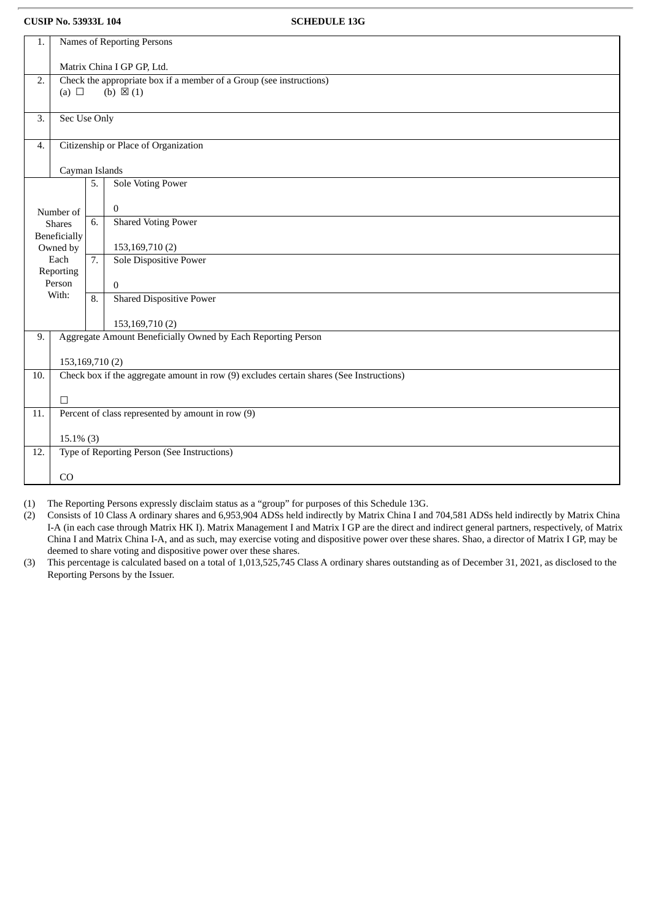| 1.                  | Names of Reporting Persons                                                                        |                  |                                                                                         |  |
|---------------------|---------------------------------------------------------------------------------------------------|------------------|-----------------------------------------------------------------------------------------|--|
|                     |                                                                                                   |                  |                                                                                         |  |
| 2.                  | Matrix China I GP GP, Ltd.<br>Check the appropriate box if a member of a Group (see instructions) |                  |                                                                                         |  |
|                     | (a) $\Box$                                                                                        |                  | (b) $\boxtimes$ (1)                                                                     |  |
|                     |                                                                                                   |                  |                                                                                         |  |
| 3.                  | Sec Use Only                                                                                      |                  |                                                                                         |  |
|                     |                                                                                                   |                  |                                                                                         |  |
| 4.                  |                                                                                                   |                  | Citizenship or Place of Organization                                                    |  |
|                     |                                                                                                   |                  |                                                                                         |  |
|                     | Cayman Islands                                                                                    |                  |                                                                                         |  |
|                     |                                                                                                   | 5.               | <b>Sole Voting Power</b>                                                                |  |
|                     |                                                                                                   |                  | $\mathbf{0}$                                                                            |  |
|                     | Number of                                                                                         | 6.               | <b>Shared Voting Power</b>                                                              |  |
|                     | <b>Shares</b><br><b>Beneficially</b>                                                              |                  |                                                                                         |  |
|                     | Owned by                                                                                          |                  | 153,169,710(2)                                                                          |  |
|                     | Each                                                                                              | $\overline{7}$ . | Sole Dispositive Power                                                                  |  |
| Reporting<br>Person |                                                                                                   |                  |                                                                                         |  |
|                     | With:                                                                                             |                  | $\mathbf{0}$                                                                            |  |
|                     |                                                                                                   | 8.               | <b>Shared Dispositive Power</b>                                                         |  |
|                     |                                                                                                   |                  | 153,169,710 (2)                                                                         |  |
| 9.                  |                                                                                                   |                  | Aggregate Amount Beneficially Owned by Each Reporting Person                            |  |
|                     |                                                                                                   |                  |                                                                                         |  |
|                     | 153,169,710(2)                                                                                    |                  |                                                                                         |  |
| 10.                 |                                                                                                   |                  | Check box if the aggregate amount in row (9) excludes certain shares (See Instructions) |  |
|                     | $\Box$                                                                                            |                  |                                                                                         |  |
| 11.                 | Percent of class represented by amount in row (9)                                                 |                  |                                                                                         |  |
|                     |                                                                                                   |                  |                                                                                         |  |
|                     | $15.1\%$ (3)                                                                                      |                  |                                                                                         |  |
| 12.                 |                                                                                                   |                  | Type of Reporting Person (See Instructions)                                             |  |
|                     |                                                                                                   |                  |                                                                                         |  |
|                     | CO                                                                                                |                  |                                                                                         |  |

(1) The Reporting Persons expressly disclaim status as a "group" for purposes of this Schedule 13G.

(2) Consists of 10 Class A ordinary shares and 6,953,904 ADSs held indirectly by Matrix China I and 704,581 ADSs held indirectly by Matrix China I-A (in each case through Matrix HK I). Matrix Management I and Matrix I GP are the direct and indirect general partners, respectively, of Matrix China I and Matrix China I-A, and as such, may exercise voting and dispositive power over these shares. Shao, a director of Matrix I GP, may be deemed to share voting and dispositive power over these shares.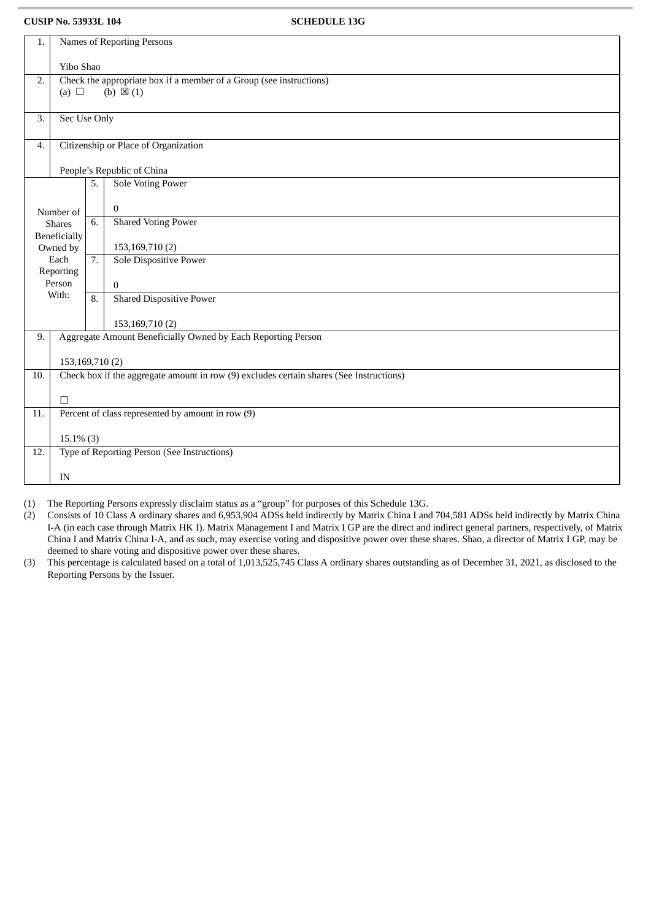| 1.                                                                                      | Names of Reporting Persons                                                              |                     |                                                              |  |  |
|-----------------------------------------------------------------------------------------|-----------------------------------------------------------------------------------------|---------------------|--------------------------------------------------------------|--|--|
|                                                                                         | Yibo Shao                                                                               |                     |                                                              |  |  |
|                                                                                         |                                                                                         |                     |                                                              |  |  |
| Check the appropriate box if a member of a Group (see instructions)<br>2.<br>(a) $\Box$ |                                                                                         | (b) $\boxtimes$ (1) |                                                              |  |  |
|                                                                                         |                                                                                         |                     |                                                              |  |  |
| 3.                                                                                      | Sec Use Only                                                                            |                     |                                                              |  |  |
|                                                                                         |                                                                                         |                     |                                                              |  |  |
| Citizenship or Place of Organization<br>4.                                              |                                                                                         |                     |                                                              |  |  |
|                                                                                         |                                                                                         |                     |                                                              |  |  |
|                                                                                         |                                                                                         |                     | People's Republic of China                                   |  |  |
|                                                                                         |                                                                                         | 5.                  | <b>Sole Voting Power</b>                                     |  |  |
|                                                                                         |                                                                                         |                     | $\mathbf{0}$                                                 |  |  |
|                                                                                         | Number of                                                                               | 6.                  | <b>Shared Voting Power</b>                                   |  |  |
|                                                                                         | <b>Shares</b>                                                                           |                     |                                                              |  |  |
| <b>Beneficially</b><br>Owned by                                                         |                                                                                         |                     | 153,169,710(2)                                               |  |  |
| Each                                                                                    |                                                                                         | 7.                  | <b>Sole Dispositive Power</b>                                |  |  |
|                                                                                         | Reporting                                                                               |                     |                                                              |  |  |
|                                                                                         | Person<br>With:                                                                         |                     | $\mathbf{0}$                                                 |  |  |
|                                                                                         |                                                                                         | 8.                  | <b>Shared Dispositive Power</b>                              |  |  |
|                                                                                         |                                                                                         |                     | 153,169,710(2)                                               |  |  |
| 9.                                                                                      |                                                                                         |                     | Aggregate Amount Beneficially Owned by Each Reporting Person |  |  |
|                                                                                         |                                                                                         |                     |                                                              |  |  |
|                                                                                         | 153,169,710(2)                                                                          |                     |                                                              |  |  |
| 10.                                                                                     | Check box if the aggregate amount in row (9) excludes certain shares (See Instructions) |                     |                                                              |  |  |
|                                                                                         |                                                                                         |                     |                                                              |  |  |
|                                                                                         | $\Box$<br>Percent of class represented by amount in row (9)                             |                     |                                                              |  |  |
| 11.                                                                                     |                                                                                         |                     |                                                              |  |  |
|                                                                                         | $15.1\%$ (3)                                                                            |                     |                                                              |  |  |
| 12.                                                                                     |                                                                                         |                     | Type of Reporting Person (See Instructions)                  |  |  |
|                                                                                         |                                                                                         |                     |                                                              |  |  |
|                                                                                         | IN                                                                                      |                     |                                                              |  |  |

(1) The Reporting Persons expressly disclaim status as a "group" for purposes of this Schedule 13G.

(2) Consists of 10 Class A ordinary shares and 6,953,904 ADSs held indirectly by Matrix China I and 704,581 ADSs held indirectly by Matrix China I-A (in each case through Matrix HK I). Matrix Management I and Matrix I GP are the direct and indirect general partners, respectively, of Matrix China I and Matrix China I-A, and as such, may exercise voting and dispositive power over these shares. Shao, a director of Matrix I GP, may be deemed to share voting and dispositive power over these shares.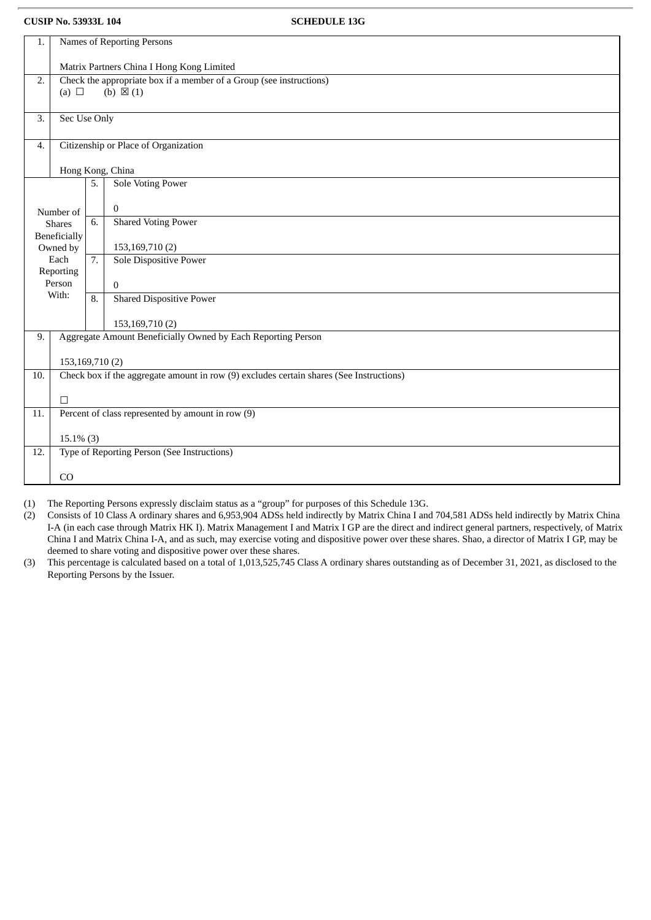| 1.           | Names of Reporting Persons                                                              |                                                                     |                                                   |  |  |
|--------------|-----------------------------------------------------------------------------------------|---------------------------------------------------------------------|---------------------------------------------------|--|--|
|              | Matrix Partners China I Hong Kong Limited                                               |                                                                     |                                                   |  |  |
| 2.           |                                                                                         | Check the appropriate box if a member of a Group (see instructions) |                                                   |  |  |
|              | (a) $\Box$                                                                              |                                                                     | (b) $\boxtimes$ (1)                               |  |  |
| 3.           | Sec Use Only                                                                            |                                                                     |                                                   |  |  |
| 4.           | Citizenship or Place of Organization                                                    |                                                                     |                                                   |  |  |
|              |                                                                                         |                                                                     | Hong Kong, China                                  |  |  |
|              |                                                                                         | 5.                                                                  | <b>Sole Voting Power</b>                          |  |  |
|              | Number of                                                                               |                                                                     | $\mathbf{0}$                                      |  |  |
|              | <b>Shares</b>                                                                           | 6.                                                                  | <b>Shared Voting Power</b>                        |  |  |
|              | Beneficially<br>Owned by                                                                |                                                                     | 153,169,710(2)                                    |  |  |
|              | Each<br>Reporting                                                                       | 7.                                                                  | <b>Sole Dispositive Power</b>                     |  |  |
|              | Person                                                                                  |                                                                     | $\theta$                                          |  |  |
|              | With:                                                                                   |                                                                     | <b>Shared Dispositive Power</b>                   |  |  |
|              |                                                                                         |                                                                     | 153,169,710(2)                                    |  |  |
| 9.           | Aggregate Amount Beneficially Owned by Each Reporting Person                            |                                                                     |                                                   |  |  |
|              | 153,169,710(2)                                                                          |                                                                     |                                                   |  |  |
| 10.          | Check box if the aggregate amount in row (9) excludes certain shares (See Instructions) |                                                                     |                                                   |  |  |
|              | $\Box$                                                                                  |                                                                     |                                                   |  |  |
| 11.          |                                                                                         |                                                                     | Percent of class represented by amount in row (9) |  |  |
| $15.1\%$ (3) |                                                                                         |                                                                     |                                                   |  |  |
| 12.          |                                                                                         |                                                                     | Type of Reporting Person (See Instructions)       |  |  |
|              | CO                                                                                      |                                                                     |                                                   |  |  |

(1) The Reporting Persons expressly disclaim status as a "group" for purposes of this Schedule 13G.

(2) Consists of 10 Class A ordinary shares and 6,953,904 ADSs held indirectly by Matrix China I and 704,581 ADSs held indirectly by Matrix China I-A (in each case through Matrix HK I). Matrix Management I and Matrix I GP are the direct and indirect general partners, respectively, of Matrix China I and Matrix China I-A, and as such, may exercise voting and dispositive power over these shares. Shao, a director of Matrix I GP, may be deemed to share voting and dispositive power over these shares.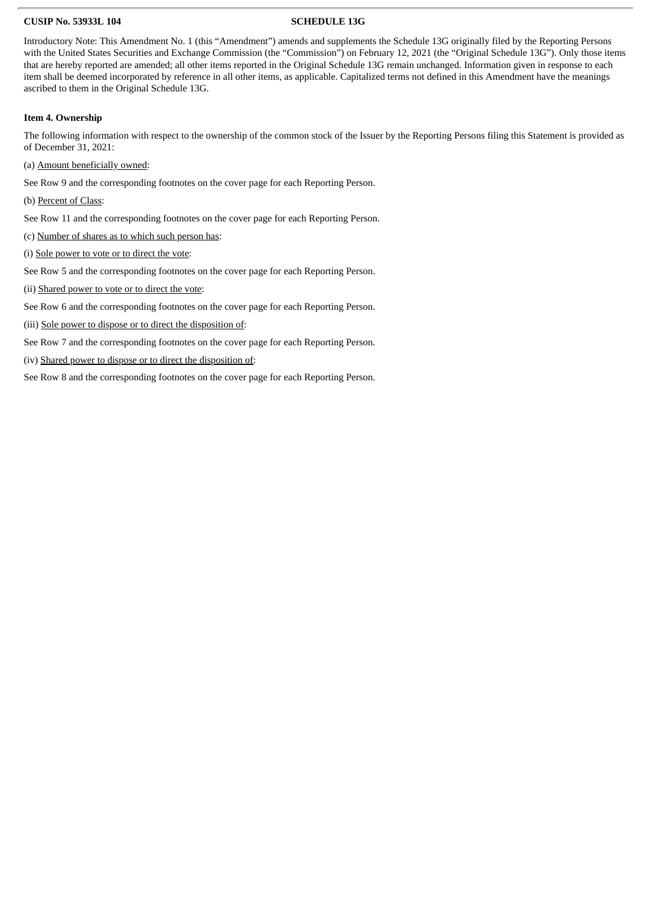Introductory Note: This Amendment No. 1 (this "Amendment") amends and supplements the Schedule 13G originally filed by the Reporting Persons with the United States Securities and Exchange Commission (the "Commission") on February 12, 2021 (the "Original Schedule 13G"). Only those items that are hereby reported are amended; all other items reported in the Original Schedule 13G remain unchanged. Information given in response to each item shall be deemed incorporated by reference in all other items, as applicable. Capitalized terms not defined in this Amendment have the meanings ascribed to them in the Original Schedule 13G.

### **Item 4. Ownership**

The following information with respect to the ownership of the common stock of the Issuer by the Reporting Persons filing this Statement is provided as of December 31, 2021:

(a) Amount beneficially owned:

See Row 9 and the corresponding footnotes on the cover page for each Reporting Person.

(b) Percent of Class:

See Row 11 and the corresponding footnotes on the cover page for each Reporting Person.

(c) Number of shares as to which such person has:

(i) Sole power to vote or to direct the vote:

See Row 5 and the corresponding footnotes on the cover page for each Reporting Person.

(ii) Shared power to vote or to direct the vote:

See Row 6 and the corresponding footnotes on the cover page for each Reporting Person.

(iii) Sole power to dispose or to direct the disposition of:

See Row 7 and the corresponding footnotes on the cover page for each Reporting Person.

(iv) Shared power to dispose or to direct the disposition of:

See Row 8 and the corresponding footnotes on the cover page for each Reporting Person.